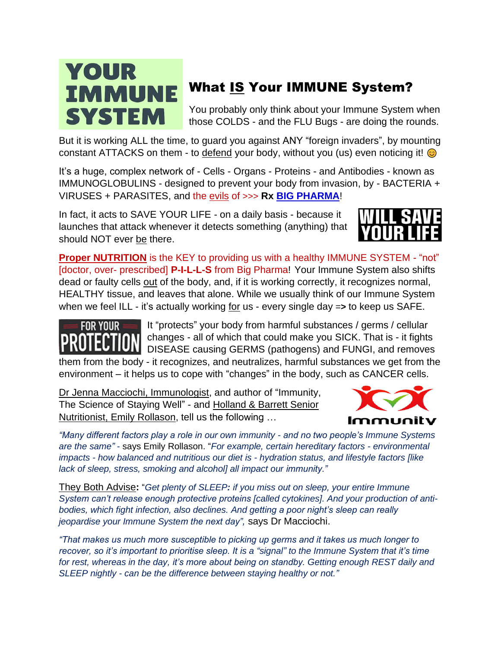## YOUR **IMMUNE SYSTEM**

## What IS Your IMMUNE System?

You probably only think about your Immune System when those COLDS - and the FLU Bugs - are doing the rounds.

But it is working ALL the time, to guard you against ANY "foreign invaders", by mounting constant ATTACKS on them - to defend your body, without you (us) even noticing it!

It's a huge, complex network of - Cells - Organs - Proteins - and Antibodies - known as IMMUNOGLOBULINS - designed to prevent your body from invasion, by - BACTERIA + VIRUSES + PARASITES, and the evils of >>> **Rx [BIG PHARMA](https://www.keepandshare.com/doc20/23962/pharma-converted-pdf-314k?da=y)**!

In fact, it acts to SAVE YOUR LIFE - on a daily basis - because it launches that attack whenever it detects something (anything) that should NOT ever be there.



**Proper NUTRITION** is the KEY to providing us with a healthy IMMUNE SYSTEM - "not" [doctor, over- prescribed] **P-I-L-L-S** from Big Pharma! Your Immune System also shifts dead or faulty cells out of the body, and, if it is working correctly, it recognizes normal, HEALTHY tissue, and leaves that alone. While we usually think of our Immune System when we feel ILL - it's actually working for us - every single day =**>** to keep us SAFE.



It "protects" your body from harmful substances / germs / cellular changes - all of which that could make you SICK. That is - it fights DISEASE causing GERMS (pathogens) and FUNGI, and removes them from the body - it recognizes, and neutralizes, harmful substances we get from the environment – it helps us to cope with "changes" in the body, such as CANCER cells.

Dr Jenna Macciochi, Immunologist, and author of "Immunity, The Science of Staying Well" - and Holland & Barrett Senior Nutritionist, Emily Rollason, tell us the following …



*"Many different factors play a role in our own immunity - and no two people's Immune Systems are the same"* - says Emily Rollason. "*For example, certain hereditary factors - environmental impacts - how balanced and nutritious our diet is - hydration status, and lifestyle factors [like lack of sleep, stress, smoking and alcohol] all impact our immunity."*

They Both Advise**:** "*Get plenty of SLEEP: if you miss out on sleep, your entire Immune System can't release enough protective proteins [called cytokines]. And your production of antibodies, which fight infection, also declines. And getting a poor night's sleep can really jeopardise your Immune System the next day",* says Dr Macciochi.

*"That makes us much more susceptible to picking up germs and it takes us much longer to recover, so it's important to prioritise sleep. It is a "signal" to the Immune System that it's time for rest, whereas in the day, it's more about being on standby. Getting enough REST daily and SLEEP nightly - can be the difference between staying healthy or not."*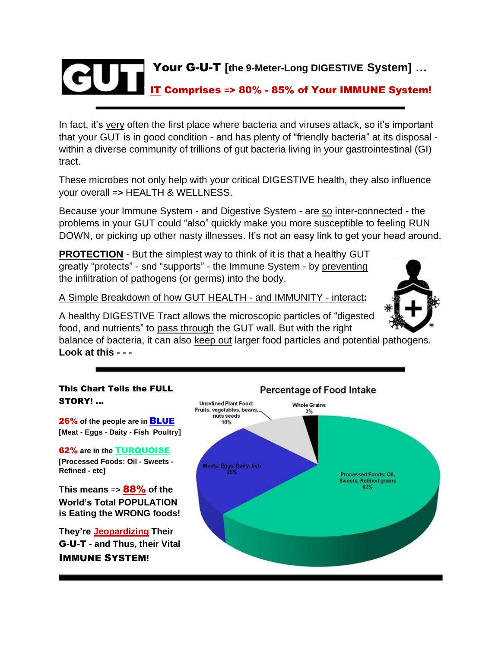

In fact, it's very often the first place where bacteria and viruses attack, so it's important that your GUT is in good condition - and has plenty of "friendly bacteria" at its disposal within a diverse community of trillions of gut bacteria living in your gastrointestinal (GI) tract.

These microbes not only help with your critical DIGESTIVE health, they also influence your overall =**>** HEALTH & WELLNESS.

Because your Immune System - and Digestive System - are so inter-connected - the problems in your GUT could "also" quickly make you more susceptible to feeling RUN DOWN, or picking up other nasty illnesses. It's not an easy link to get your head around.

**PROTECTION** - But the simplest way to think of it is that a healthy GUT greatly "protects" - snd "supports" - the Immune System - by preventing the infiltration of pathogens (or germs) into the body.

A Simple Breakdown of how GUT HEALTH - and IMMUNITY - interact**:**

A healthy DIGESTIVE Tract allows the microscopic particles of "digested food, and nutrients" to pass through the GUT wall. But with the right

balance of bacteria, it can also keep out larger food particles and potential pathogens. **Look at this - - -**

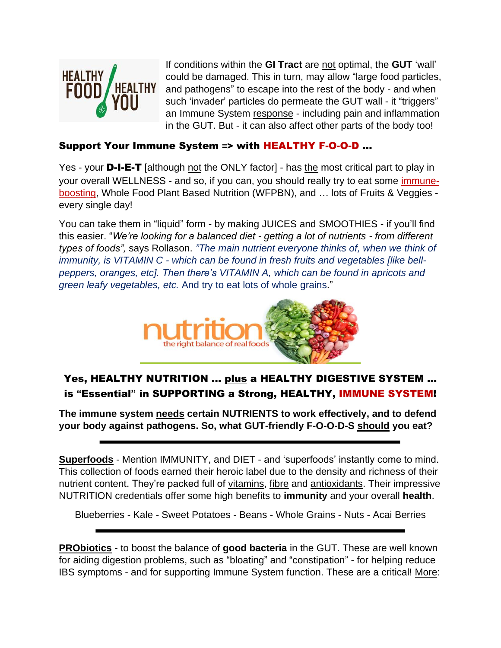

If conditions within the **GI Tract** are not optimal, the **GUT** 'wall' could be damaged. This in turn, may allow "large food particles, and pathogens" to escape into the rest of the body - and when such 'invader' particles do permeate the GUT wall - it "triggers" an Immune System response - including pain and inflammation in the GUT. But - it can also affect other parts of the body too!

#### Support Your Immune System **=**> with HEALTHY F-O-O-D …

Yes - your **D-I-E-T** [although not the ONLY factor] - has the most critical part to play in your overall WELLNESS - and so, if you can, you should really try to eat some immuneboosting, Whole Food Plant Based Nutrition (WFPBN), and … lots of Fruits & Veggies every single day!

You can take them in "liquid" form - by making JUICES and SMOOTHIES - if you'll find this easier. "*We're looking for a balanced diet - getting a lot of nutrients - from different types of foods",* says Rollason. *"The main nutrient everyone thinks of, when we think of immunity, is VITAMIN C - which can be found in fresh fruits and vegetables [like bellpeppers, oranges, etc]. Then there's VITAMIN A, which can be found in apricots and green leafy vegetables, etc.* And try to eat lots of whole grains."



#### Yes, HEALTHY NUTRITION … plus a HEALTHY DIGESTIVE SYSTEM … is **"**Essential**"** in SUPPORTING a Strong, HEALTHY, IMMUNE SYSTEM!

**The immune system needs certain NUTRIENTS to work effectively, and to defend your body against pathogens. So, what GUT-friendly F-O-O-D-S should you eat?**

**Superfoods** - Mention IMMUNITY, and DIET - and 'superfoods' instantly come to mind. This collection of foods earned their heroic label due to the density and richness of their nutrient content. They're packed full of vitamins, fibre and antioxidants. Their impressive NUTRITION credentials offer some high benefits to **immunity** and your overall **health**.

Blueberries - Kale - Sweet Potatoes - Beans - Whole Grains - Nuts - Acai Berries

**PRObiotics** - to boost the balance of **good bacteria** in the GUT. These are well known for aiding digestion problems, such as "bloating" and "constipation" - for helping reduce IBS symptoms - and for supporting Immune System function. These are a critical! More: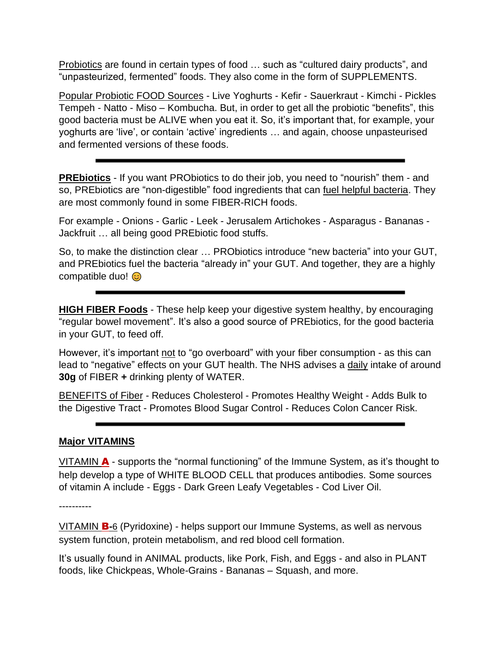Probiotics are found in certain types of food … such as "cultured dairy products", and "unpasteurized, fermented" foods. They also come in the form of SUPPLEMENTS.

Popular Probiotic FOOD Sources - Live Yoghurts - Kefir - Sauerkraut - Kimchi - Pickles Tempeh - Natto - Miso – Kombucha. But, in order to get all the probiotic "benefits", this good bacteria must be ALIVE when you eat it. So, it's important that, for example, your yoghurts are 'live', or contain 'active' ingredients … and again, choose unpasteurised and fermented versions of these foods.

**PREbiotics** - If you want PRObiotics to do their job, you need to "nourish" them - and so, PREbiotics are "non-digestible" food ingredients that can fuel helpful bacteria. They are most commonly found in some FIBER-RICH foods.

For example - Onions - Garlic - Leek - Jerusalem Artichokes - Asparagus - Bananas - Jackfruit … all being good PREbiotic food stuffs.

So, to make the distinction clear … PRObiotics introduce "new bacteria" into your GUT, and PREbiotics fuel the bacteria "already in" your GUT. And together, they are a highly compatible duo! **c** 

**HIGH FIBER Foods** - These help keep your digestive system healthy, by encouraging "regular bowel movement". It's also a good source of PREbiotics, for the good bacteria in your GUT, to feed off.

However, it's important not to "go overboard" with your fiber consumption - as this can lead to "negative" effects on your GUT health. The NHS advises a daily intake of around **30g** of FIBER **+** drinking plenty of WATER.

BENEFITS of Fiber - Reduces Cholesterol - Promotes Healthy Weight - Adds Bulk to the Digestive Tract - Promotes Blood Sugar Control - Reduces Colon Cancer Risk.

#### **Major VITAMINS**

VITAMIN  $\blacktriangle$  - supports the "normal functioning" of the Immune System, as it's thought to help develop a type of WHITE BLOOD CELL that produces antibodies. Some sources of vitamin A include - Eggs - Dark Green Leafy Vegetables - Cod Liver Oil.

----------

VITAMIN B**-**6 (Pyridoxine) - helps support our Immune Systems, as well as nervous system function, protein metabolism, and red blood cell formation.

It's usually found in ANIMAL products, like Pork, Fish, and Eggs - and also in PLANT foods, like Chickpeas, Whole-Grains - Bananas – Squash, and more.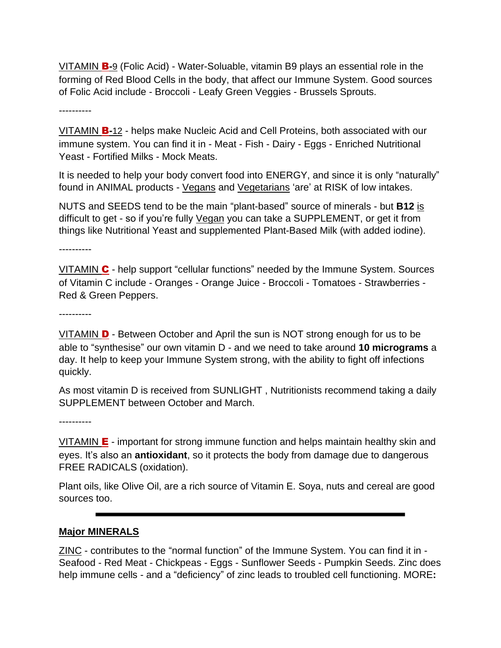VITAMIN B**-**9 (Folic Acid) - Water-Soluable, vitamin B9 plays an essential role in the forming of Red Blood Cells in the body, that affect our Immune System. Good sources of Folic Acid include - Broccoli - Leafy Green Veggies - Brussels Sprouts.

----------

VITAMIN B**-**12 - helps make Nucleic Acid and Cell Proteins, both associated with our immune system. You can find it in - Meat - Fish - Dairy - Eggs - Enriched Nutritional Yeast - Fortified Milks - Mock Meats.

It is needed to help your body convert food into ENERGY, and since it is only "naturally" found in ANIMAL products - Vegans and Vegetarians 'are' at RISK of low intakes.

NUTS and SEEDS tend to be the main "plant-based" source of minerals - but **B12** is difficult to get - so if you're fully Vegan you can take a SUPPLEMENT, or get it from things like Nutritional Yeast and supplemented Plant-Based Milk (with added iodine).

----------

VITAMIN C - help support "cellular functions" needed by the Immune System. Sources of Vitamin C include - Oranges - Orange Juice - Broccoli - Tomatoes - Strawberries - Red & Green Peppers.

----------

VITAMIN D - Between October and April the sun is NOT strong enough for us to be able to "synthesise" our own vitamin D - and we need to take around **10 micrograms** a day. It help to keep your Immune System strong, with the ability to fight off infections quickly.

As most vitamin D is received from SUNLIGHT , Nutritionists recommend taking a daily SUPPLEMENT between October and March.

----------

VITAMIN  $E$  - important for strong immune function and helps maintain healthy skin and eyes. It's also an **antioxidant**, so it protects the body from damage due to dangerous FREE RADICALS (oxidation).

Plant oils, like Olive Oil, are a rich source of Vitamin E. Soya, nuts and cereal are good sources too.

#### **Major MINERALS**

ZINC - contributes to the "normal function" of the Immune System. You can find it in - Seafood - Red Meat - Chickpeas - Eggs - Sunflower Seeds - Pumpkin Seeds. Zinc does help immune cells - and a "deficiency" of zinc leads to troubled cell functioning. MORE**:**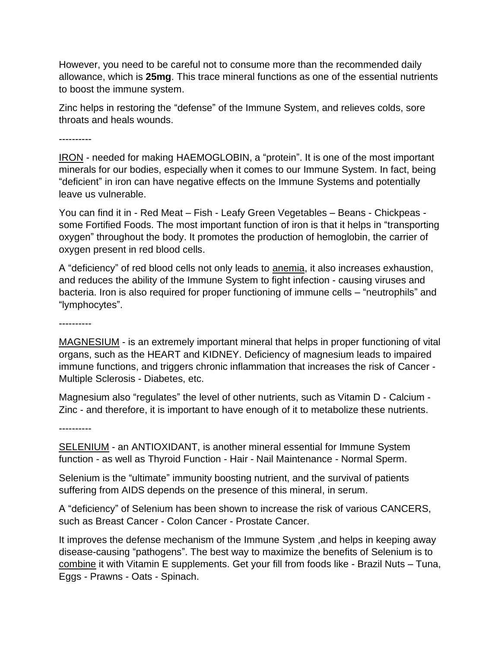However, you need to be careful not to consume more than the recommended daily allowance, which is **25mg**. This trace mineral functions as one of the essential nutrients to boost the immune system.

Zinc helps in restoring the "defense" of the Immune System, and relieves colds, sore throats and heals wounds.

----------

IRON - needed for making HAEMOGLOBIN, a "protein". It is one of the most important minerals for our bodies, especially when it comes to our Immune System. In fact, being "deficient" in iron can have negative effects on the Immune Systems and potentially leave us vulnerable.

You can find it in - Red Meat – Fish - Leafy Green Vegetables – Beans - Chickpeas some Fortified Foods. The most important function of iron is that it helps in "transporting oxygen" throughout the body. It promotes the production of hemoglobin, the carrier of oxygen present in red blood cells.

A "deficiency" of red blood cells not only leads to anemia, it also increases exhaustion, and reduces the ability of the Immune System to fight infection - causing viruses and bacteria. Iron is also required for proper functioning of immune cells – "neutrophils" and "lymphocytes".

----------

MAGNESIUM - is an extremely important mineral that helps in proper functioning of vital organs, such as the HEART and KIDNEY. Deficiency of magnesium leads to impaired immune functions, and triggers chronic inflammation that increases the risk of Cancer - Multiple Sclerosis - Diabetes, etc.

Magnesium also "regulates" the level of other nutrients, such as Vitamin D - Calcium - Zinc - and therefore, it is important to have enough of it to metabolize these nutrients.

----------

SELENIUM - an ANTIOXIDANT, is another mineral essential for Immune System function - as well as Thyroid Function - Hair - Nail Maintenance - Normal Sperm.

Selenium is the "ultimate" immunity boosting nutrient, and the survival of patients suffering from AIDS depends on the presence of this mineral, in serum.

A "deficiency" of Selenium has been shown to increase the risk of various CANCERS, such as Breast Cancer - Colon Cancer - Prostate Cancer.

It improves the defense mechanism of the Immune System ,and helps in keeping away disease-causing "pathogens". The best way to maximize the benefits of Selenium is to combine it with Vitamin E supplements. Get your fill from foods like - Brazil Nuts – Tuna, Eggs - Prawns - Oats - Spinach.